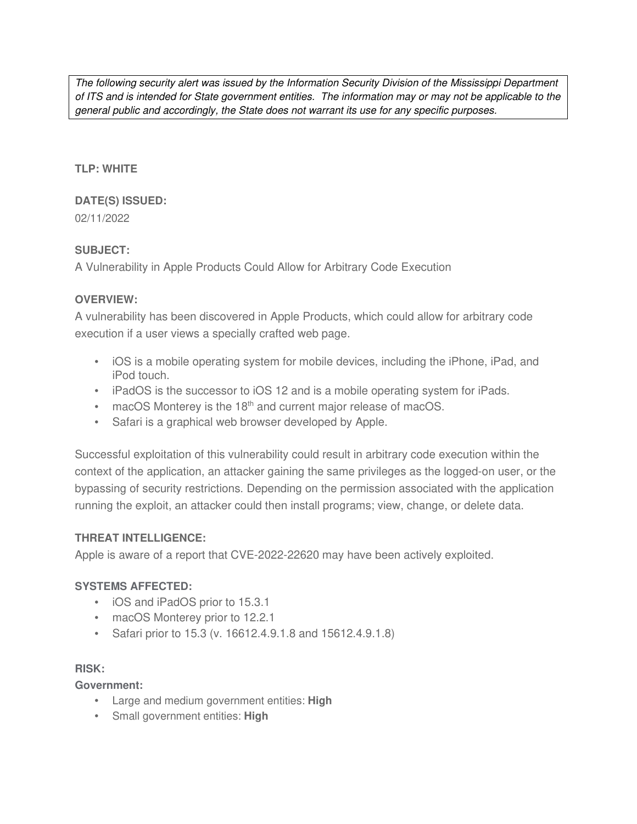The following security alert was issued by the Information Security Division of the Mississippi Department of ITS and is intended for State government entities. The information may or may not be applicable to the general public and accordingly, the State does not warrant its use for any specific purposes.

#### **TLP: WHITE**

# **DATE(S) ISSUED:**

02/11/2022

## **SUBJECT:**

A Vulnerability in Apple Products Could Allow for Arbitrary Code Execution

## **OVERVIEW:**

A vulnerability has been discovered in Apple Products, which could allow for arbitrary code execution if a user views a specially crafted web page.

- iOS is a mobile operating system for mobile devices, including the iPhone, iPad, and iPod touch.
- iPadOS is the successor to iOS 12 and is a mobile operating system for iPads.
- $\bullet$  macOS Monterey is the 18<sup>th</sup> and current major release of macOS.
- Safari is a graphical web browser developed by Apple.

Successful exploitation of this vulnerability could result in arbitrary code execution within the context of the application, an attacker gaining the same privileges as the logged-on user, or the bypassing of security restrictions. Depending on the permission associated with the application running the exploit, an attacker could then install programs; view, change, or delete data.

#### **THREAT INTELLIGENCE:**

Apple is aware of a report that CVE-2022-22620 may have been actively exploited.

# **SYSTEMS AFFECTED:**

- iOS and iPadOS prior to 15.3.1
- macOS Monterey prior to 12.2.1
- Safari prior to 15.3 (v. 16612.4.9.1.8 and 15612.4.9.1.8)

#### **RISK:**

**Government:**

- Large and medium government entities: **High**
- Small government entities: **High**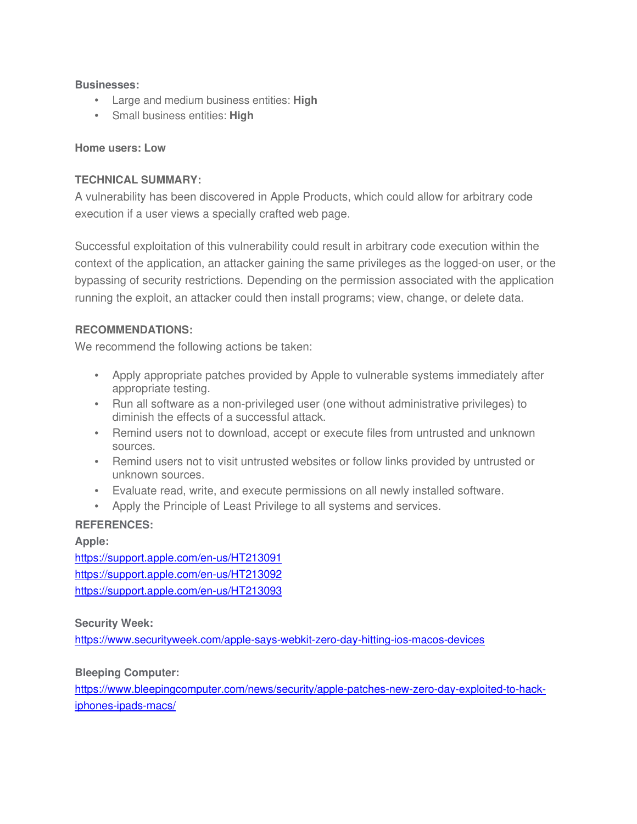#### **Businesses:**

- Large and medium business entities: **High**
- Small business entities: **High**

#### **Home users: Low**

#### **TECHNICAL SUMMARY:**

A vulnerability has been discovered in Apple Products, which could allow for arbitrary code execution if a user views a specially crafted web page.

Successful exploitation of this vulnerability could result in arbitrary code execution within the context of the application, an attacker gaining the same privileges as the logged-on user, or the bypassing of security restrictions. Depending on the permission associated with the application running the exploit, an attacker could then install programs; view, change, or delete data.

#### **RECOMMENDATIONS:**

We recommend the following actions be taken:

- Apply appropriate patches provided by Apple to vulnerable systems immediately after appropriate testing.
- Run all software as a non-privileged user (one without administrative privileges) to diminish the effects of a successful attack.
- Remind users not to download, accept or execute files from untrusted and unknown sources.
- Remind users not to visit untrusted websites or follow links provided by untrusted or unknown sources.
- Evaluate read, write, and execute permissions on all newly installed software.
- Apply the Principle of Least Privilege to all systems and services.

#### **REFERENCES:**

**Apple:** https://support.apple.com/en-us/HT213091 https://support.apple.com/en-us/HT213092 https://support.apple.com/en-us/HT213093

**Security Week:**

https://www.securityweek.com/apple-says-webkit-zero-day-hitting-ios-macos-devices

**Bleeping Computer:**

https://www.bleepingcomputer.com/news/security/apple-patches-new-zero-day-exploited-to-hackiphones-ipads-macs/